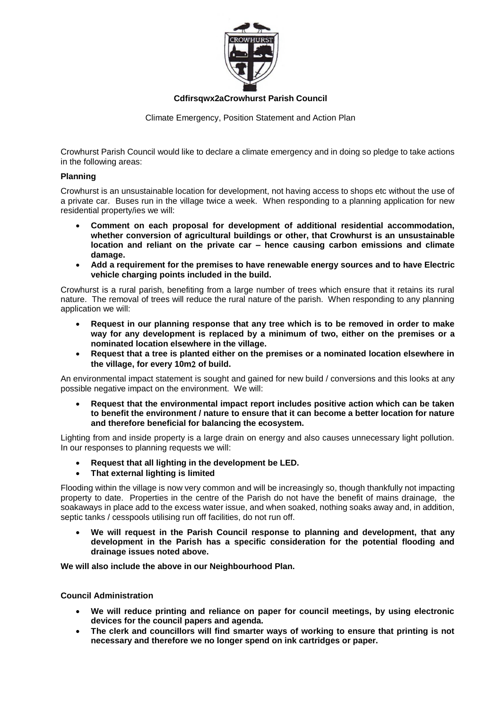

**Cdfirsqwx2aCrowhurst Parish Council**

Climate Emergency, Position Statement and Action Plan

Crowhurst Parish Council would like to declare a climate emergency and in doing so pledge to take actions in the following areas:

## **Planning**

Crowhurst is an unsustainable location for development, not having access to shops etc without the use of a private car. Buses run in the village twice a week. When responding to a planning application for new residential property/ies we will:

- **Comment on each proposal for development of additional residential accommodation, whether conversion of agricultural buildings or other, that Crowhurst is an unsustainable location and reliant on the private car – hence causing carbon emissions and climate damage.**
- **Add a requirement for the premises to have renewable energy sources and to have Electric vehicle charging points included in the build.**

Crowhurst is a rural parish, benefiting from a large number of trees which ensure that it retains its rural nature. The removal of trees will reduce the rural nature of the parish. When responding to any planning application we will:

- **Request in our planning response that any tree which is to be removed in order to make way for any development is replaced by a minimum of two, either on the premises or a nominated location elsewhere in the village.**
- **Request that a tree is planted either on the premises or a nominated location elsewhere in**  the village, for every 10m<sub>2</sub> of build.

An environmental impact statement is sought and gained for new build / conversions and this looks at any possible negative impact on the environment. We will:

 **Request that the environmental impact report includes positive action which can be taken to benefit the environment / nature to ensure that it can become a better location for nature and therefore beneficial for balancing the ecosystem.**

Lighting from and inside property is a large drain on energy and also causes unnecessary light pollution. In our responses to planning requests we will:

- **Request that all lighting in the development be LED.**
- **That external lighting is limited**

Flooding within the village is now very common and will be increasingly so, though thankfully not impacting property to date. Properties in the centre of the Parish do not have the benefit of mains drainage, the soakaways in place add to the excess water issue, and when soaked, nothing soaks away and, in addition, septic tanks / cesspools utilising run off facilities, do not run off.

 **We will request in the Parish Council response to planning and development, that any development in the Parish has a specific consideration for the potential flooding and drainage issues noted above.**

**We will also include the above in our Neighbourhood Plan.**

**Council Administration**

- **We will reduce printing and reliance on paper for council meetings, by using electronic devices for the council papers and agenda.**
- **The clerk and councillors will find smarter ways of working to ensure that printing is not necessary and therefore we no longer spend on ink cartridges or paper.**